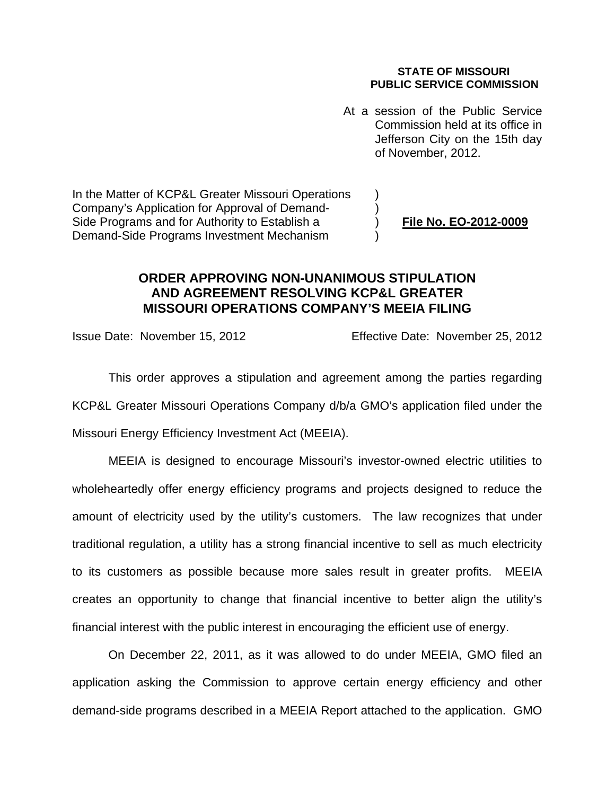#### **STATE OF MISSOURI PUBLIC SERVICE COMMISSION**

At a session of the Public Service Commission held at its office in Jefferson City on the 15th day of November, 2012.

In the Matter of KCP&L Greater Missouri Operations Company's Application for Approval of Demand- ) Side Programs and for Authority to Establish a **File No. EO-2012-0009** Demand-Side Programs Investment Mechanism )

## **ORDER APPROVING NON-UNANIMOUS STIPULATION AND AGREEMENT RESOLVING KCP&L GREATER MISSOURI OPERATIONS COMPANY'S MEEIA FILING**

Issue Date: November 15, 2012 Effective Date: November 25, 2012

This order approves a stipulation and agreement among the parties regarding KCP&L Greater Missouri Operations Company d/b/a GMO's application filed under the Missouri Energy Efficiency Investment Act (MEEIA).

MEEIA is designed to encourage Missouri's investor-owned electric utilities to wholeheartedly offer energy efficiency programs and projects designed to reduce the amount of electricity used by the utility's customers. The law recognizes that under traditional regulation, a utility has a strong financial incentive to sell as much electricity to its customers as possible because more sales result in greater profits. MEEIA creates an opportunity to change that financial incentive to better align the utility's financial interest with the public interest in encouraging the efficient use of energy.

On December 22, 2011, as it was allowed to do under MEEIA, GMO filed an application asking the Commission to approve certain energy efficiency and other demand-side programs described in a MEEIA Report attached to the application. GMO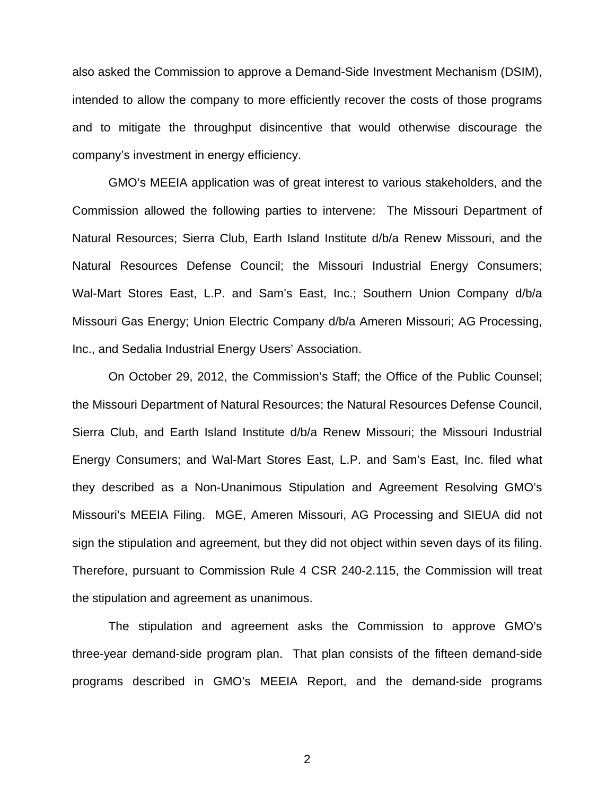also asked the Commission to approve a Demand-Side Investment Mechanism (DSIM), intended to allow the company to more efficiently recover the costs of those programs and to mitigate the throughput disincentive that would otherwise discourage the company's investment in energy efficiency.

GMO's MEEIA application was of great interest to various stakeholders, and the Commission allowed the following parties to intervene: The Missouri Department of Natural Resources; Sierra Club, Earth Island Institute d/b/a Renew Missouri, and the Natural Resources Defense Council; the Missouri Industrial Energy Consumers; Wal-Mart Stores East, L.P. and Sam's East, Inc.; Southern Union Company d/b/a Missouri Gas Energy; Union Electric Company d/b/a Ameren Missouri; AG Processing, Inc., and Sedalia Industrial Energy Users' Association.

On October 29, 2012, the Commission's Staff; the Office of the Public Counsel; the Missouri Department of Natural Resources; the Natural Resources Defense Council, Sierra Club, and Earth Island Institute d/b/a Renew Missouri; the Missouri Industrial Energy Consumers; and Wal-Mart Stores East, L.P. and Sam's East, Inc. filed what they described as a Non-Unanimous Stipulation and Agreement Resolving GMO's Missouri's MEEIA Filing. MGE, Ameren Missouri, AG Processing and SIEUA did not sign the stipulation and agreement, but they did not object within seven days of its filing. Therefore, pursuant to Commission Rule 4 CSR 240-2.115, the Commission will treat the stipulation and agreement as unanimous.

The stipulation and agreement asks the Commission to approve GMO's three-year demand-side program plan. That plan consists of the fifteen demand-side programs described in GMO's MEEIA Report, and the demand-side programs

2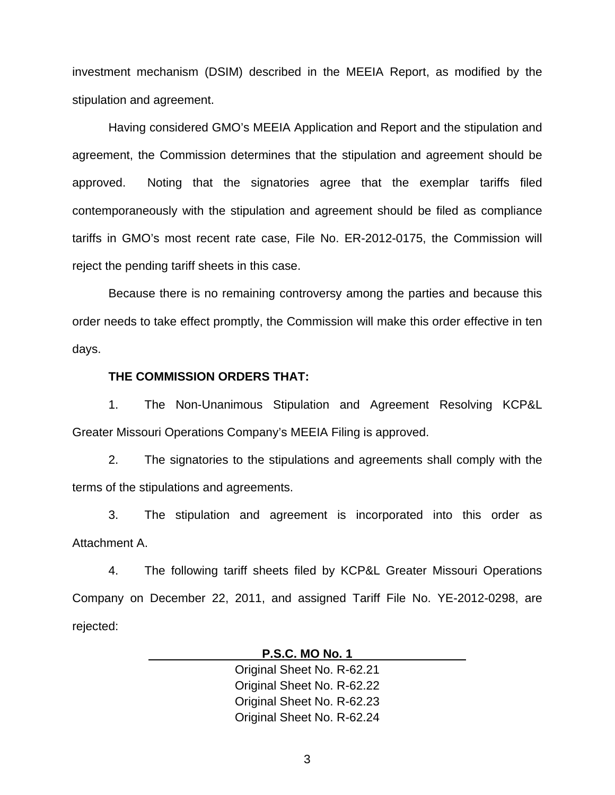investment mechanism (DSIM) described in the MEEIA Report, as modified by the stipulation and agreement.

Having considered GMO's MEEIA Application and Report and the stipulation and agreement, the Commission determines that the stipulation and agreement should be approved. Noting that the signatories agree that the exemplar tariffs filed contemporaneously with the stipulation and agreement should be filed as compliance tariffs in GMO's most recent rate case, File No. ER-2012-0175, the Commission will reject the pending tariff sheets in this case.

Because there is no remaining controversy among the parties and because this order needs to take effect promptly, the Commission will make this order effective in ten days.

### **THE COMMISSION ORDERS THAT:**

1. The Non-Unanimous Stipulation and Agreement Resolving KCP&L Greater Missouri Operations Company's MEEIA Filing is approved.

2. The signatories to the stipulations and agreements shall comply with the terms of the stipulations and agreements.

3. The stipulation and agreement is incorporated into this order as Attachment A.

4. The following tariff sheets filed by KCP&L Greater Missouri Operations Company on December 22, 2011, and assigned Tariff File No. YE-2012-0298, are rejected:

#### **P.S.C. MO No. 1**

Original Sheet No. R-62.21 Original Sheet No. R-62.22 Original Sheet No. R-62.23 Original Sheet No. R-62.24

3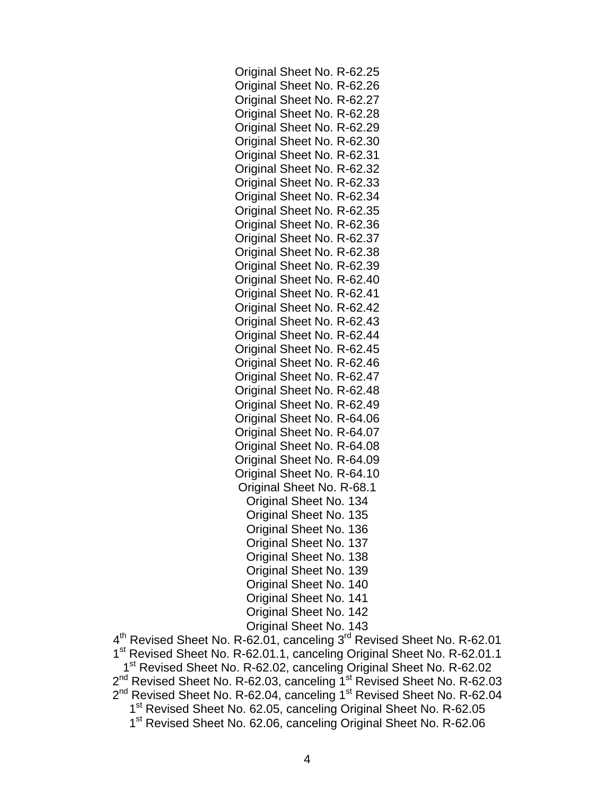Original Sheet No. R-62.25 Original Sheet No. R-62.26 Original Sheet No. R-62.27 Original Sheet No. R-62.28 Original Sheet No. R-62.29 Original Sheet No. R-62.30 Original Sheet No. R-62.31 Original Sheet No. R-62.32 Original Sheet No. R-62.33 Original Sheet No. R-62.34 Original Sheet No. R-62.35 Original Sheet No. R-62.36 Original Sheet No. R-62.37 Original Sheet No. R-62.38 Original Sheet No. R-62.39 Original Sheet No. R-62.40 Original Sheet No. R-62.41 Original Sheet No. R-62.42 Original Sheet No. R-62.43 Original Sheet No. R-62.44 Original Sheet No. R-62.45 Original Sheet No. R-62.46 Original Sheet No. R-62.47 Original Sheet No. R-62.48 Original Sheet No. R-62.49 Original Sheet No. R-64.06 Original Sheet No. R-64.07 Original Sheet No. R-64.08 Original Sheet No. R-64.09 Original Sheet No. R-64.10 Original Sheet No. R-68.1 Original Sheet No. 134 Original Sheet No. 135 Original Sheet No. 136 Original Sheet No. 137 Original Sheet No. 138 Original Sheet No. 139 Original Sheet No. 140 Original Sheet No. 141 Original Sheet No. 142 Original Sheet No. 143

4<sup>th</sup> Revised Sheet No. R-62.01, canceling 3<sup>rd</sup> Revised Sheet No. R-62.01 1<sup>st</sup> Revised Sheet No. R-62.01.1, canceling Original Sheet No. R-62.01.1 1<sup>st</sup> Revised Sheet No. R-62.02, canceling Original Sheet No. R-62.02 2<sup>nd</sup> Revised Sheet No. R-62.03, canceling 1<sup>st</sup> Revised Sheet No. R-62.03 2<sup>nd</sup> Revised Sheet No. R-62.04, canceling 1<sup>st</sup> Revised Sheet No. R-62.04 1<sup>st</sup> Revised Sheet No. 62.05, canceling Original Sheet No. R-62.05 1<sup>st</sup> Revised Sheet No. 62.06, canceling Original Sheet No. R-62.06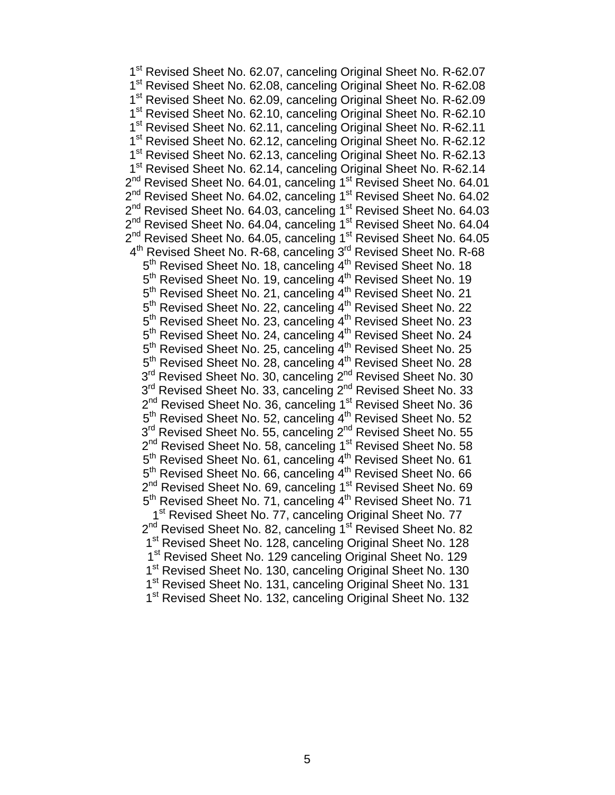1<sup>st</sup> Revised Sheet No. 62.07, canceling Original Sheet No. R-62.07 1<sup>st</sup> Revised Sheet No. 62.08, canceling Original Sheet No. R-62.08 1<sup>st</sup> Revised Sheet No. 62.09, canceling Original Sheet No. R-62.09 1<sup>st</sup> Revised Sheet No. 62.10, canceling Original Sheet No. R-62.10 1<sup>st</sup> Revised Sheet No. 62.11, canceling Original Sheet No. R-62.11 1<sup>st</sup> Revised Sheet No. 62.12, canceling Original Sheet No. R-62.12 1<sup>st</sup> Revised Sheet No. 62.13, canceling Original Sheet No. R-62.13 1<sup>st</sup> Revised Sheet No. 62.14, canceling Original Sheet No. R-62.14  $2^{nd}$  Revised Sheet No. 64.01, canceling 1<sup>st</sup> Revised Sheet No. 64.01 2<sup>nd</sup> Revised Sheet No. 64.02, canceling 1<sup>st</sup> Revised Sheet No. 64.02 2<sup>nd</sup> Revised Sheet No. 64.03, canceling 1<sup>st</sup> Revised Sheet No. 64.03 2<sup>nd</sup> Revised Sheet No. 64.04, canceling 1<sup>st</sup> Revised Sheet No. 64.04 2<sup>nd</sup> Revised Sheet No. 64.05, canceling 1<sup>st</sup> Revised Sheet No. 64.05 4<sup>th</sup> Revised Sheet No. R-68, canceling 3<sup>rd</sup> Revised Sheet No. R-68 5<sup>th</sup> Revised Sheet No. 18, canceling 4<sup>th</sup> Revised Sheet No. 18 5<sup>th</sup> Revised Sheet No. 19, canceling 4<sup>th</sup> Revised Sheet No. 19 5<sup>th</sup> Revised Sheet No. 21, canceling 4<sup>th</sup> Revised Sheet No. 21 5<sup>th</sup> Revised Sheet No. 22, canceling 4<sup>th</sup> Revised Sheet No. 22 5<sup>th</sup> Revised Sheet No. 23, canceling 4<sup>th</sup> Revised Sheet No. 23 5<sup>th</sup> Revised Sheet No. 24, canceling 4<sup>th</sup> Revised Sheet No. 24 5<sup>th</sup> Revised Sheet No. 25, canceling 4<sup>th</sup> Revised Sheet No. 25 5<sup>th</sup> Revised Sheet No. 28, canceling 4<sup>th</sup> Revised Sheet No. 28 3<sup>rd</sup> Revised Sheet No. 30, canceling 2<sup>nd</sup> Revised Sheet No. 30 3<sup>rd</sup> Revised Sheet No. 33, canceling 2<sup>nd</sup> Revised Sheet No. 33 2<sup>nd</sup> Revised Sheet No. 36, canceling 1<sup>st</sup> Revised Sheet No. 36 5<sup>th</sup> Revised Sheet No. 52, canceling 4<sup>th</sup> Revised Sheet No. 52 3<sup>rd</sup> Revised Sheet No. 55, canceling 2<sup>nd</sup> Revised Sheet No. 55 2<sup>nd</sup> Revised Sheet No. 58, canceling 1<sup>st</sup> Revised Sheet No. 58  $5<sup>th</sup>$  Revised Sheet No. 61, canceling  $4<sup>th</sup>$  Revised Sheet No. 61 5<sup>th</sup> Revised Sheet No. 66, canceling 4<sup>th</sup> Revised Sheet No. 66 2<sup>nd</sup> Revised Sheet No. 69, canceling 1<sup>st</sup> Revised Sheet No. 69 5<sup>th</sup> Revised Sheet No. 71, canceling 4<sup>th</sup> Revised Sheet No. 71 1<sup>st</sup> Revised Sheet No. 77, canceling Original Sheet No. 77 2<sup>nd</sup> Revised Sheet No. 82, canceling 1<sup>st</sup> Revised Sheet No. 82 1<sup>st</sup> Revised Sheet No. 128, canceling Original Sheet No. 128 1<sup>st</sup> Revised Sheet No. 129 canceling Original Sheet No. 129 1<sup>st</sup> Revised Sheet No. 130, canceling Original Sheet No. 130 1<sup>st</sup> Revised Sheet No. 131, canceling Original Sheet No. 131 1<sup>st</sup> Revised Sheet No. 132, canceling Original Sheet No. 132